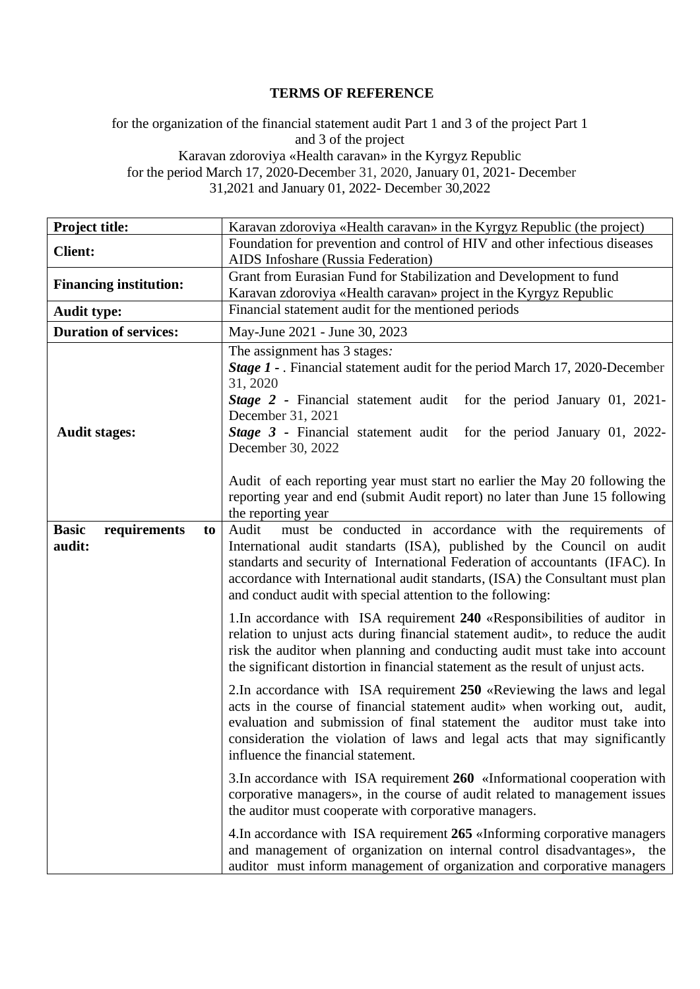## **TERMS OF REFERENCE**

for the organization of the financial statement audit Part 1 and 3 of the project Part 1 and 3 of the project Karavan zdoroviya «Health caravan» in the Kyrgyz Republic for the period March 17, 2020-December 31, 2020, January 01, 2021- December 31,2021 and January 01, 2022- December 30,2022

| Project title:                               | Karavan zdoroviya «Health caravan» in the Kyrgyz Republic (the project)                                                                                                                                                                                                                                                                                                    |  |
|----------------------------------------------|----------------------------------------------------------------------------------------------------------------------------------------------------------------------------------------------------------------------------------------------------------------------------------------------------------------------------------------------------------------------------|--|
| <b>Client:</b>                               | Foundation for prevention and control of HIV and other infectious diseases                                                                                                                                                                                                                                                                                                 |  |
|                                              | AIDS Infoshare (Russia Federation)                                                                                                                                                                                                                                                                                                                                         |  |
| <b>Financing institution:</b>                | Grant from Eurasian Fund for Stabilization and Development to fund                                                                                                                                                                                                                                                                                                         |  |
|                                              | Karavan zdoroviya «Health caravan» project in the Kyrgyz Republic                                                                                                                                                                                                                                                                                                          |  |
| <b>Audit type:</b>                           | Financial statement audit for the mentioned periods                                                                                                                                                                                                                                                                                                                        |  |
| <b>Duration of services:</b>                 | May-June 2021 - June 30, 2023                                                                                                                                                                                                                                                                                                                                              |  |
| <b>Audit stages:</b>                         | The assignment has 3 stages.<br><b>Stage 1 -</b> Financial statement audit for the period March 17, 2020-December<br>31, 2020<br><b>Stage 2</b> - Financial statement audit for the period January 01, 2021-<br>December 31, 2021<br>Stage 3 - Financial statement audit for the period January 01, 2022-                                                                  |  |
|                                              | December 30, 2022<br>Audit of each reporting year must start no earlier the May 20 following the<br>reporting year and end (submit Audit report) no later than June 15 following<br>the reporting year                                                                                                                                                                     |  |
| <b>Basic</b><br>requirements<br>to<br>audit: | Audit<br>must be conducted in accordance with the requirements of<br>International audit standarts (ISA), published by the Council on audit<br>standarts and security of International Federation of accountants (IFAC). In<br>accordance with International audit standarts, (ISA) the Consultant must plan<br>and conduct audit with special attention to the following: |  |
|                                              | 1. In accordance with ISA requirement 240 «Responsibilities of auditor in<br>relation to unjust acts during financial statement audit», to reduce the audit<br>risk the auditor when planning and conducting audit must take into account<br>the significant distortion in financial statement as the result of unjust acts.                                               |  |
|                                              | 2. In accordance with ISA requirement 250 «Reviewing the laws and legal<br>acts in the course of financial statement audit» when working out, audit,<br>evaluation and submission of final statement the auditor must take into<br>consideration the violation of laws and legal acts that may significantly<br>influence the financial statement.                         |  |
|                                              | 3. In accordance with ISA requirement 260 «Informational cooperation with<br>corporative managers», in the course of audit related to management issues<br>the auditor must cooperate with corporative managers.                                                                                                                                                           |  |
|                                              | 4. In accordance with ISA requirement 265 «Informing corporative managers<br>and management of organization on internal control disadvantages», the<br>auditor must inform management of organization and corporative managers                                                                                                                                             |  |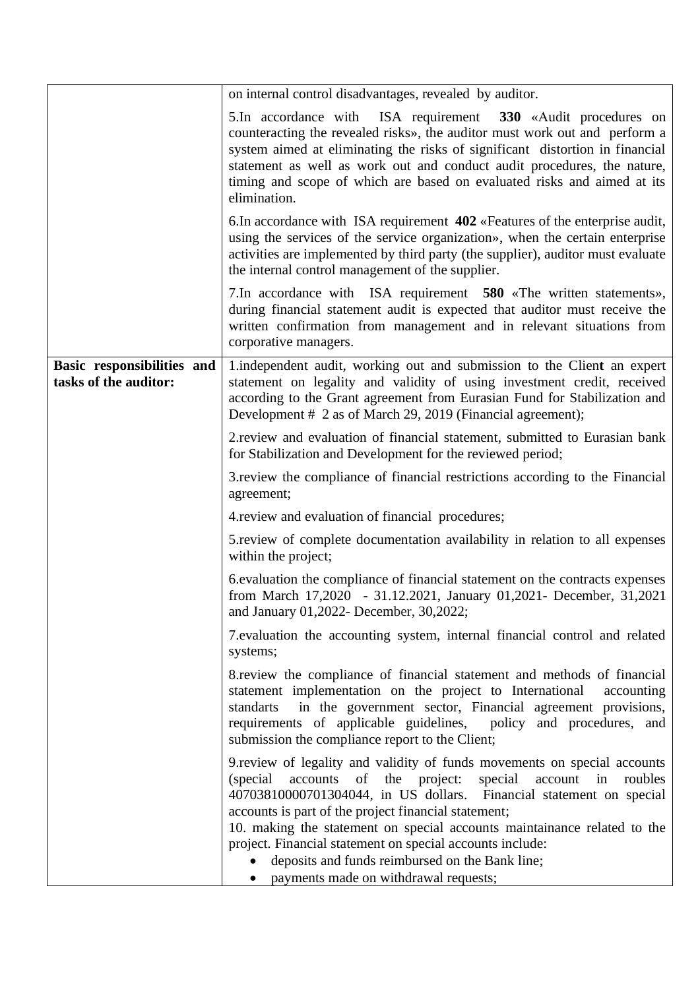|                                                     | on internal control disadvantages, revealed by auditor.                                                                                                                                                                                                                                                                                                                                                                                                                                                                                |
|-----------------------------------------------------|----------------------------------------------------------------------------------------------------------------------------------------------------------------------------------------------------------------------------------------------------------------------------------------------------------------------------------------------------------------------------------------------------------------------------------------------------------------------------------------------------------------------------------------|
|                                                     | 5. In accordance with ISA requirement 330 «Audit procedures on<br>counteracting the revealed risks», the auditor must work out and perform a<br>system aimed at eliminating the risks of significant distortion in financial<br>statement as well as work out and conduct audit procedures, the nature,<br>timing and scope of which are based on evaluated risks and aimed at its<br>elimination.                                                                                                                                     |
|                                                     | 6. In accordance with ISA requirement 402 «Features of the enterprise audit,<br>using the services of the service organization», when the certain enterprise<br>activities are implemented by third party (the supplier), auditor must evaluate<br>the internal control management of the supplier.                                                                                                                                                                                                                                    |
|                                                     | 7. In accordance with ISA requirement 580 «The written statements»,<br>during financial statement audit is expected that auditor must receive the<br>written confirmation from management and in relevant situations from<br>corporative managers.                                                                                                                                                                                                                                                                                     |
| Basic responsibilities and<br>tasks of the auditor: | 1. independent audit, working out and submission to the Client an expert<br>statement on legality and validity of using investment credit, received<br>according to the Grant agreement from Eurasian Fund for Stabilization and<br>Development # 2 as of March 29, 2019 (Financial agreement);                                                                                                                                                                                                                                        |
|                                                     | 2. review and evaluation of financial statement, submitted to Eurasian bank<br>for Stabilization and Development for the reviewed period;                                                                                                                                                                                                                                                                                                                                                                                              |
|                                                     | 3. review the compliance of financial restrictions according to the Financial<br>agreement;                                                                                                                                                                                                                                                                                                                                                                                                                                            |
|                                                     | 4. review and evaluation of financial procedures;                                                                                                                                                                                                                                                                                                                                                                                                                                                                                      |
|                                                     | 5. review of complete documentation availability in relation to all expenses<br>within the project;                                                                                                                                                                                                                                                                                                                                                                                                                                    |
|                                                     | 6. evaluation the compliance of financial statement on the contracts expenses<br>from March 17,2020 - 31.12.2021, January 01,2021- December, 31,2021<br>and January 01,2022- December, 30,2022;                                                                                                                                                                                                                                                                                                                                        |
|                                                     | 7.evaluation the accounting system, internal financial control and related<br>systems;                                                                                                                                                                                                                                                                                                                                                                                                                                                 |
|                                                     | 8. review the compliance of financial statement and methods of financial<br>statement implementation on the project to International<br>accounting<br>in the government sector, Financial agreement provisions,<br>standarts<br>requirements of applicable guidelines, policy and procedures, and<br>submission the compliance report to the Client;                                                                                                                                                                                   |
|                                                     | 9. review of legality and validity of funds movements on special accounts<br>accounts<br>of<br>the<br>special<br>account<br>(special)<br>project:<br>in<br>roubles<br>40703810000701304044, in US dollars. Financial statement on special<br>accounts is part of the project financial statement;<br>10. making the statement on special accounts maintainance related to the<br>project. Financial statement on special accounts include:<br>deposits and funds reimbursed on the Bank line;<br>payments made on withdrawal requests; |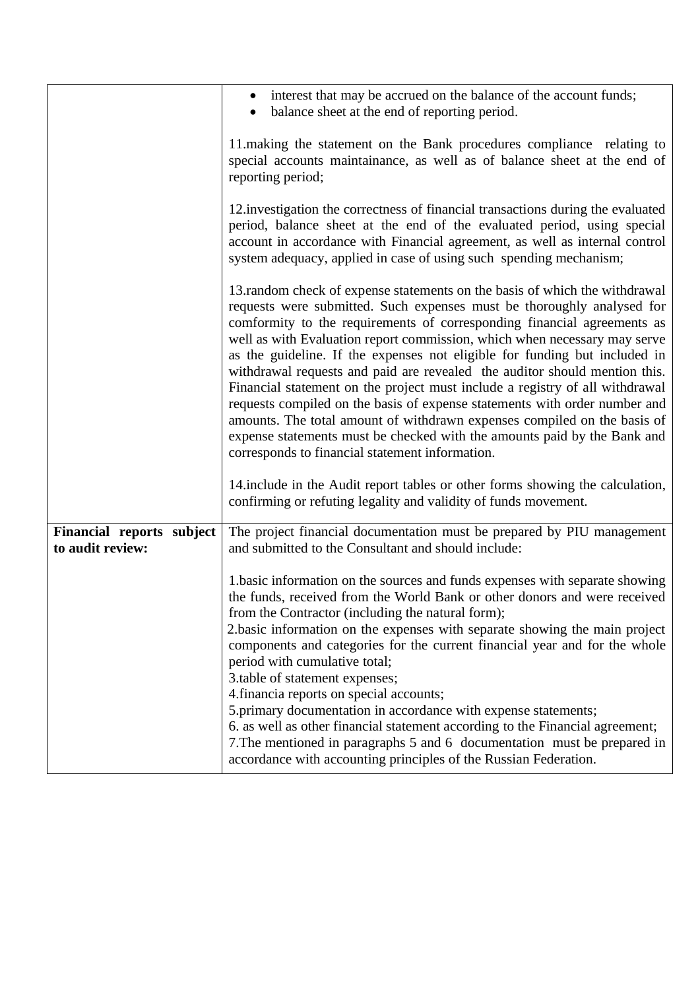|                                               | interest that may be accrued on the balance of the account funds;<br>balance sheet at the end of reporting period.                                                                                                                                                                                                                                                                                                                                                                                                                                                                                                                                                                                                                                                                                                                                 |
|-----------------------------------------------|----------------------------------------------------------------------------------------------------------------------------------------------------------------------------------------------------------------------------------------------------------------------------------------------------------------------------------------------------------------------------------------------------------------------------------------------------------------------------------------------------------------------------------------------------------------------------------------------------------------------------------------------------------------------------------------------------------------------------------------------------------------------------------------------------------------------------------------------------|
|                                               | 11. making the statement on the Bank procedures compliance relating to<br>special accounts maintainance, as well as of balance sheet at the end of<br>reporting period;                                                                                                                                                                                                                                                                                                                                                                                                                                                                                                                                                                                                                                                                            |
|                                               | 12. investigation the correctness of financial transactions during the evaluated<br>period, balance sheet at the end of the evaluated period, using special<br>account in accordance with Financial agreement, as well as internal control<br>system adequacy, applied in case of using such spending mechanism;                                                                                                                                                                                                                                                                                                                                                                                                                                                                                                                                   |
|                                               | 13. random check of expense statements on the basis of which the withdrawal<br>requests were submitted. Such expenses must be thoroughly analysed for<br>comformity to the requirements of corresponding financial agreements as<br>well as with Evaluation report commission, which when necessary may serve<br>as the guideline. If the expenses not eligible for funding but included in<br>withdrawal requests and paid are revealed the auditor should mention this.<br>Financial statement on the project must include a registry of all withdrawal<br>requests compiled on the basis of expense statements with order number and<br>amounts. The total amount of withdrawn expenses compiled on the basis of<br>expense statements must be checked with the amounts paid by the Bank and<br>corresponds to financial statement information. |
|                                               | 14. include in the Audit report tables or other forms showing the calculation,<br>confirming or refuting legality and validity of funds movement.                                                                                                                                                                                                                                                                                                                                                                                                                                                                                                                                                                                                                                                                                                  |
| Financial reports subject<br>to audit review: | The project financial documentation must be prepared by PIU management<br>and submitted to the Consultant and should include:                                                                                                                                                                                                                                                                                                                                                                                                                                                                                                                                                                                                                                                                                                                      |
|                                               | 1. basic information on the sources and funds expenses with separate showing<br>the funds, received from the World Bank or other donors and were received<br>from the Contractor (including the natural form);<br>2. basic information on the expenses with separate showing the main project<br>components and categories for the current financial year and for the whole<br>period with cumulative total;<br>3.table of statement expenses;<br>4. financia reports on special accounts;<br>5.primary documentation in accordance with expense statements;<br>6. as well as other financial statement according to the Financial agreement;<br>7. The mentioned in paragraphs 5 and 6 documentation must be prepared in<br>accordance with accounting principles of the Russian Federation.                                                      |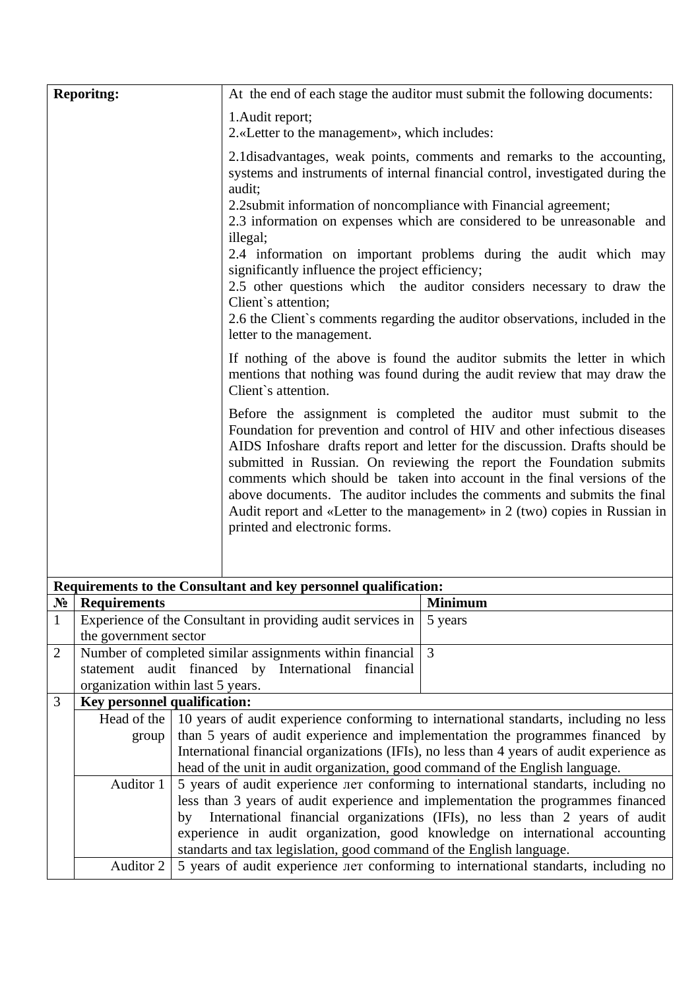| <b>Reporitng:</b> | At the end of each stage the auditor must submit the following documents:                                                                                                                                                                                                                                                                                                                                                                                                                                                                                                                                                                                            |  |
|-------------------|----------------------------------------------------------------------------------------------------------------------------------------------------------------------------------------------------------------------------------------------------------------------------------------------------------------------------------------------------------------------------------------------------------------------------------------------------------------------------------------------------------------------------------------------------------------------------------------------------------------------------------------------------------------------|--|
|                   | 1. Audit report;<br>2.«Letter to the management», which includes:                                                                                                                                                                                                                                                                                                                                                                                                                                                                                                                                                                                                    |  |
|                   | 2.1 disadvantages, weak points, comments and remarks to the accounting,<br>systems and instruments of internal financial control, investigated during the<br>audit;<br>2.2 submit information of noncompliance with Financial agreement;<br>2.3 information on expenses which are considered to be unreasonable and<br>illegal;<br>2.4 information on important problems during the audit which may<br>significantly influence the project efficiency;<br>2.5 other questions which the auditor considers necessary to draw the<br>Client's attention;<br>2.6 the Client's comments regarding the auditor observations, included in the<br>letter to the management. |  |
|                   | If nothing of the above is found the auditor submits the letter in which<br>mentions that nothing was found during the audit review that may draw the<br>Client's attention.                                                                                                                                                                                                                                                                                                                                                                                                                                                                                         |  |
|                   | Before the assignment is completed the auditor must submit to the<br>Foundation for prevention and control of HIV and other infectious diseases<br>AIDS Infoshare drafts report and letter for the discussion. Drafts should be<br>submitted in Russian. On reviewing the report the Foundation submits<br>comments which should be taken into account in the final versions of the<br>above documents. The auditor includes the comments and submits the final<br>Audit report and «Letter to the management» in 2 (two) copies in Russian in<br>printed and electronic forms.                                                                                      |  |
|                   | Requirements to the Consultant and key personnel qualification:                                                                                                                                                                                                                                                                                                                                                                                                                                                                                                                                                                                                      |  |

|                | Requirements to the Consultant and key personnel qualification:           |                                                                               |                                                                                           |
|----------------|---------------------------------------------------------------------------|-------------------------------------------------------------------------------|-------------------------------------------------------------------------------------------|
| $N_2$          | <b>Requirements</b>                                                       |                                                                               | <b>Minimum</b>                                                                            |
|                | Experience of the Consultant in providing audit services in               |                                                                               | 5 years                                                                                   |
|                | the government sector                                                     |                                                                               |                                                                                           |
| $\overline{2}$ | Number of completed similar assignments within financial<br>$\mathcal{R}$ |                                                                               |                                                                                           |
|                | statement audit financed by International financial                       |                                                                               |                                                                                           |
|                | organization within last 5 years.                                         |                                                                               |                                                                                           |
| 3              | Key personnel qualification:                                              |                                                                               |                                                                                           |
|                | Head of the                                                               |                                                                               | 10 years of audit experience conforming to international standarts, including no less     |
|                | group                                                                     |                                                                               | than 5 years of audit experience and implementation the programmes financed by            |
|                |                                                                           |                                                                               | International financial organizations (IFIs), no less than 4 years of audit experience as |
|                |                                                                           | head of the unit in audit organization, good command of the English language. |                                                                                           |
|                | Auditor 1                                                                 |                                                                               | 5 years of audit experience ner conforming to international standarts, including no       |
|                |                                                                           |                                                                               | less than 3 years of audit experience and implementation the programmes financed          |
|                |                                                                           | by                                                                            | International financial organizations (IFIs), no less than 2 years of audit               |
|                |                                                                           |                                                                               | experience in audit organization, good knowledge on international accounting              |
|                |                                                                           | standarts and tax legislation, good command of the English language.          |                                                                                           |
|                | Auditor 2                                                                 |                                                                               | 5 years of audit experience ner conforming to international standarts, including no       |